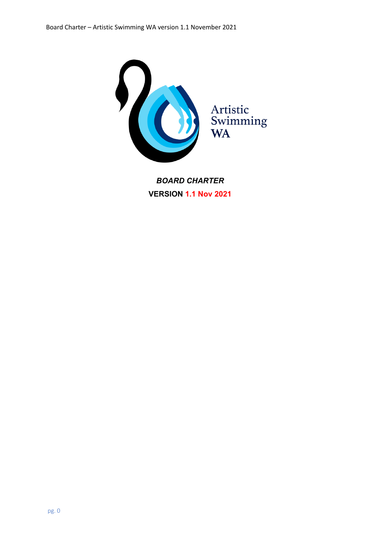

*BOARD CHARTER* **VERSION 1.1 Nov 2021**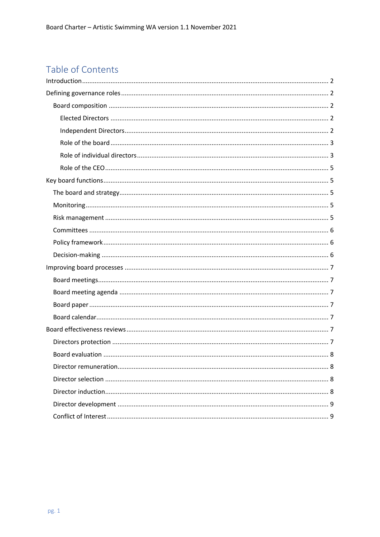# Table of Contents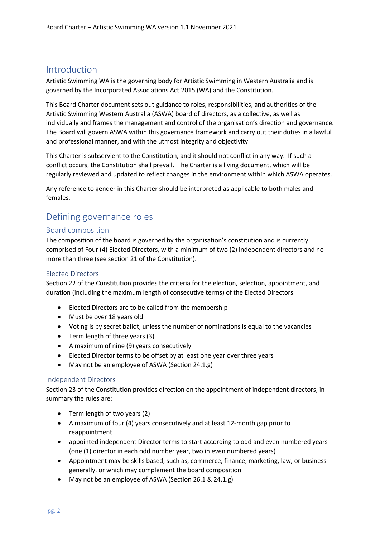# Introduction

Artistic Swimming WA is the governing body for Artistic Swimming in Western Australia and is governed by the Incorporated Associations Act 2015 (WA) and the Constitution.

This Board Charter document sets out guidance to roles, responsibilities, and authorities of the Artistic Swimming Western Australia (ASWA) board of directors, as a collective, as well as individually and frames the management and control of the organisation's direction and governance. The Board will govern ASWA within this governance framework and carry out their duties in a lawful and professional manner, and with the utmost integrity and objectivity.

This Charter is subservient to the Constitution, and it should not conflict in any way. If such a conflict occurs, the Constitution shall prevail. The Charter is a living document, which will be regularly reviewed and updated to reflect changes in the environment within which ASWA operates.

Any reference to gender in this Charter should be interpreted as applicable to both males and females.

# Defining governance roles

#### Board composition

The composition of the board is governed by the organisation's constitution and is currently comprised of Four (4) Elected Directors, with a minimum of two (2) independent directors and no more than three (see section 21 of the Constitution).

#### Elected Directors

Section 22 of the Constitution provides the criteria for the election, selection, appointment, and duration (including the maximum length of consecutive terms) of the Elected Directors.

- Elected Directors are to be called from the membership
- Must be over 18 years old
- Voting is by secret ballot, unless the number of nominations is equal to the vacancies
- Term length of three years (3)
- A maximum of nine (9) years consecutively
- Elected Director terms to be offset by at least one year over three years
- May not be an employee of ASWA (Section 24.1.g)

#### Independent Directors

Section 23 of the Constitution provides direction on the appointment of independent directors, in summary the rules are:

- Term length of two years (2)
- A maximum of four (4) years consecutively and at least 12-month gap prior to reappointment
- appointed independent Director terms to start according to odd and even numbered years (one (1) director in each odd number year, two in even numbered years)
- Appointment may be skills based, such as, commerce, finance, marketing, law, or business generally, or which may complement the board composition
- May not be an employee of ASWA (Section 26.1 & 24.1.g)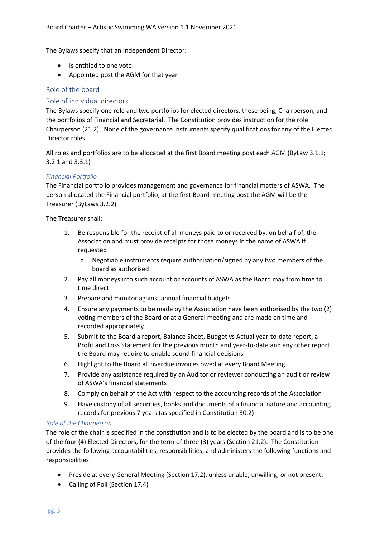The Bylaws specify that an Independent Director:

- Is entitled to one vote
- Appointed post the AGM for that year

#### Role of the board

#### Role of individual directors

The Bylaws specify one role and two portfolios for elected directors, these being, Chairperson, and the portfolios of Financial and Secretarial. The Constitution provides instruction for the role Chairperson (21.2). None of the governance instruments specify qualifications for any of the Elected Director roles.

All roles and portfolios are to be allocated at the first Board meeting post each AGM (ByLaw 3.1.1; 3.2.1 and 3.3.1)

#### *Financial Portfolio*

The Financial portfolio provides management and governance for financial matters of ASWA. The person allocated the Financial portfolio, at the first Board meeting post the AGM will be the Treasurer (ByLaws 3.2.2).

The Treasurer shall:

- 1. Be responsible for the receipt of all moneys paid to or received by, on behalf of, the Association and must provide receipts for those moneys in the name of ASWA if requested
	- a. Negotiable instruments require authorisation/signed by any two members of the board as authorised
- 2. Pay all moneys into such account or accounts of ASWA as the Board may from time to time direct
- 3. Prepare and monitor against annual financial budgets
- 4. Ensure any payments to be made by the Association have been authorised by the two (2) voting members of the Board or at a General meeting and are made on time and recorded appropriately
- 5. Submit to the Board a report, Balance Sheet, Budget vs Actual year-to-date report, a Profit and Loss Statement for the previous month and year-to-date and any other report the Board may require to enable sound financial decisions
- 6. Highlight to the Board all overdue invoices owed at every Board Meeting.
- 7. Provide any assistance required by an Auditor or reviewer conducting an audit or review of ASWA's financial statements
- 8. Comply on behalf of the Act with respect to the accounting records of the Association
- 9. Have custody of all securities, books and documents of a financial nature and accounting records for previous 7 years (as specified in Constitution 30.2)

#### *Role of the Chairperson*

The role of the chair is specified in the constitution and is to be elected by the board and is to be one of the four (4) Elected Directors, for the term of three (3) years (Section 21.2). The Constitution provides the following accountabilities, responsibilities, and administers the following functions and responsibilities:

- Preside at every General Meeting (Section 17.2), unless unable, unwilling, or not present.
- Calling of Poll (Section 17.4)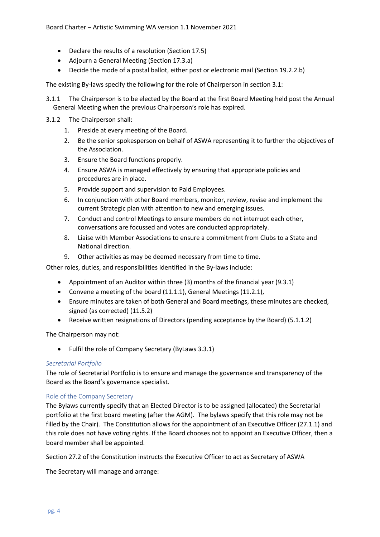- Declare the results of a resolution (Section 17.5)
- Adjourn a General Meeting (Section 17.3.a)
- Decide the mode of a postal ballot, either post or electronic mail (Section 19.2.2.b)

The existing By-laws specify the following for the role of Chairperson in section 3.1:

- 3.1.1 The Chairperson is to be elected by the Board at the first Board Meeting held post the Annual General Meeting when the previous Chairperson's role has expired.
- 3.1.2 The Chairperson shall:
	- 1. Preside at every meeting of the Board.
	- 2. Be the senior spokesperson on behalf of ASWA representing it to further the objectives of the Association.
	- 3. Ensure the Board functions properly.
	- 4. Ensure ASWA is managed effectively by ensuring that appropriate policies and procedures are in place.
	- 5. Provide support and supervision to Paid Employees.
	- 6. In conjunction with other Board members, monitor, review, revise and implement the current Strategic plan with attention to new and emerging issues.
	- 7. Conduct and control Meetings to ensure members do not interrupt each other, conversations are focussed and votes are conducted appropriately.
	- 8. Liaise with Member Associations to ensure a commitment from Clubs to a State and National direction.
	- 9. Other activities as may be deemed necessary from time to time.

Other roles, duties, and responsibilities identified in the By-laws include:

- Appointment of an Auditor within three (3) months of the financial year (9.3.1)
- Convene a meeting of the board (11.1.1), General Meetings (11.2.1),
- Ensure minutes are taken of both General and Board meetings, these minutes are checked, signed (as corrected) (11.5.2)
- Receive written resignations of Directors (pending acceptance by the Board) (5.1.1.2)

The Chairperson may not:

• Fulfil the role of Company Secretary (ByLaws 3.3.1)

#### *Secretarial Portfolio*

The role of Secretarial Portfolio is to ensure and manage the governance and transparency of the Board as the Board's governance specialist.

#### Role of the Company Secretary

The Bylaws currently specify that an Elected Director is to be assigned (allocated) the Secretarial portfolio at the first board meeting (after the AGM). The bylaws specify that this role may not be filled by the Chair). The Constitution allows for the appointment of an Executive Officer (27.1.1) and this role does not have voting rights. If the Board chooses not to appoint an Executive Officer, then a board member shall be appointed.

Section 27.2 of the Constitution instructs the Executive Officer to act as Secretary of ASWA

The Secretary will manage and arrange: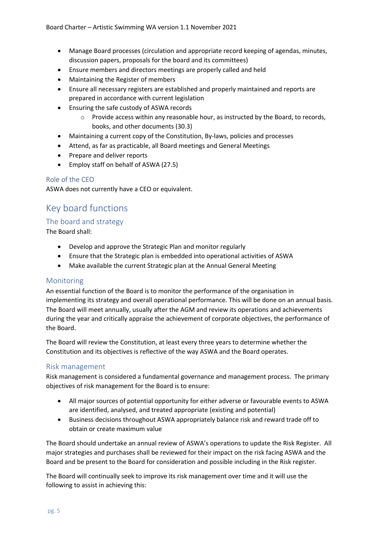- Manage Board processes (circulation and appropriate record keeping of agendas, minutes, discussion papers, proposals for the board and its committees)
- Ensure members and directors meetings are properly called and held
- Maintaining the Register of members
- Ensure all necessary registers are established and properly maintained and reports are prepared in accordance with current legislation
- Ensuring the safe custody of ASWA records
	- o Provide access within any reasonable hour, as instructed by the Board, to records, books, and other documents (30.3)
- Maintaining a current copy of the Constitution, By-laws, policies and processes
- Attend, as far as practicable, all Board meetings and General Meetings
- Prepare and deliver reports
- Employ staff on behalf of ASWA (27.5)

#### Role of the CEO

ASWA does not currently have a CEO or equivalent.

# Key board functions

### The board and strategy

The Board shall:

- Develop and approve the Strategic Plan and monitor regularly
- Ensure that the Strategic plan is embedded into operational activities of ASWA
- Make available the current Strategic plan at the Annual General Meeting

#### Monitoring

An essential function of the Board is to monitor the performance of the organisation in implementing its strategy and overall operational performance. This will be done on an annual basis. The Board will meet annually, usually after the AGM and review its operations and achievements during the year and critically appraise the achievement of corporate objectives, the performance of the Board.

The Board will review the Constitution, at least every three years to determine whether the Constitution and its objectives is reflective of the way ASWA and the Board operates.

### Risk management

Risk management is considered a fundamental governance and management process. The primary objectives of risk management for the Board is to ensure:

- All major sources of potential opportunity for either adverse or favourable events to ASWA are identified, analysed, and treated appropriate (existing and potential)
- Business decisions throughout ASWA appropriately balance risk and reward trade off to obtain or create maximum value

The Board should undertake an annual review of ASWA's operations to update the Risk Register. All major strategies and purchases shall be reviewed for their impact on the risk facing ASWA and the Board and be present to the Board for consideration and possible including in the Risk register.

The Board will continually seek to improve its risk management over time and it will use the following to assist in achieving this: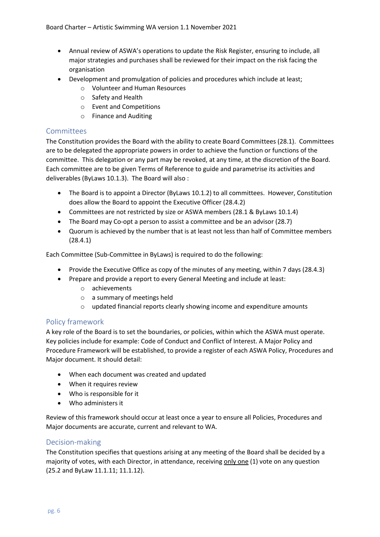- Annual review of ASWA's operations to update the Risk Register, ensuring to include, all major strategies and purchases shall be reviewed for their impact on the risk facing the organisation
- Development and promulgation of policies and procedures which include at least;
	- o Volunteer and Human Resources
	- o Safety and Health
	- o Event and Competitions
	- o Finance and Auditing

#### **Committees**

The Constitution provides the Board with the ability to create Board Committees (28.1). Committees are to be delegated the appropriate powers in order to achieve the function or functions of the committee. This delegation or any part may be revoked, at any time, at the discretion of the Board. Each committee are to be given Terms of Reference to guide and parametrise its activities and deliverables (ByLaws 10.1.3). The Board will also :

- The Board is to appoint a Director (ByLaws 10.1.2) to all committees. However, Constitution does allow the Board to appoint the Executive Officer (28.4.2)
- Committees are not restricted by size or ASWA members (28.1 & ByLaws 10.1.4)
- The Board may Co-opt a person to assist a committee and be an advisor (28.7)
- Quorum is achieved by the number that is at least not less than half of Committee members (28.4.1)

Each Committee (Sub-Committee in ByLaws) is required to do the following:

- Provide the Executive Office as copy of the minutes of any meeting, within 7 days (28.4.3)
- Prepare and provide a report to every General Meeting and include at least:
	- o achievements
	- o a summary of meetings held
	- o updated financial reports clearly showing income and expenditure amounts

#### Policy framework

A key role of the Board is to set the boundaries, or policies, within which the ASWA must operate. Key policies include for example: Code of Conduct and Conflict of Interest. A Major Policy and Procedure Framework will be established, to provide a register of each ASWA Policy, Procedures and Major document. It should detail:

- When each document was created and updated
- When it requires review
- Who is responsible for it
- Who administers it

Review of this framework should occur at least once a year to ensure all Policies, Procedures and Major documents are accurate, current and relevant to WA.

#### Decision-making

The Constitution specifies that questions arising at any meeting of the Board shall be decided by a majority of votes, with each Director, in attendance, receiving only one (1) vote on any question (25.2 and ByLaw 11.1.11; 11.1.12).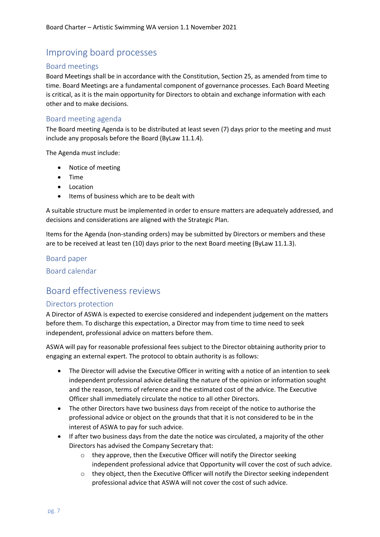# Improving board processes

#### Board meetings

Board Meetings shall be in accordance with the Constitution, Section 25, as amended from time to time. Board Meetings are a fundamental component of governance processes. Each Board Meeting is critical, as it is the main opportunity for Directors to obtain and exchange information with each other and to make decisions.

#### Board meeting agenda

The Board meeting Agenda is to be distributed at least seven (7) days prior to the meeting and must include any proposals before the Board (ByLaw 11.1.4).

The Agenda must include:

- Notice of meeting
- Time
- Location
- Items of business which are to be dealt with

A suitable structure must be implemented in order to ensure matters are adequately addressed, and decisions and considerations are aligned with the Strategic Plan.

Items for the Agenda (non-standing orders) may be submitted by Directors or members and these are to be received at least ten (10) days prior to the next Board meeting (ByLaw 11.1.3).

#### Board paper

Board calendar

# Board effectiveness reviews

#### Directors protection

A Director of ASWA is expected to exercise considered and independent judgement on the matters before them. To discharge this expectation, a Director may from time to time need to seek independent, professional advice on matters before them.

ASWA will pay for reasonable professional fees subject to the Director obtaining authority prior to engaging an external expert. The protocol to obtain authority is as follows:

- The Director will advise the Executive Officer in writing with a notice of an intention to seek independent professional advice detailing the nature of the opinion or information sought and the reason, terms of reference and the estimated cost of the advice. The Executive Officer shall immediately circulate the notice to all other Directors.
- The other Directors have two business days from receipt of the notice to authorise the professional advice or object on the grounds that that it is not considered to be in the interest of ASWA to pay for such advice.
- If after two business days from the date the notice was circulated, a majority of the other Directors has advised the Company Secretary that:
	- o they approve, then the Executive Officer will notify the Director seeking independent professional advice that Opportunity will cover the cost of such advice.
	- o they object, then the Executive Officer will notify the Director seeking independent professional advice that ASWA will not cover the cost of such advice.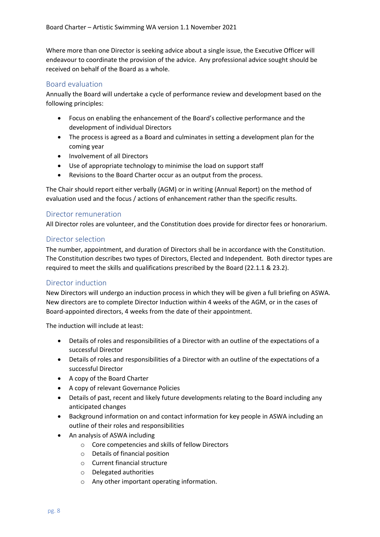Where more than one Director is seeking advice about a single issue, the Executive Officer will endeavour to coordinate the provision of the advice. Any professional advice sought should be received on behalf of the Board as a whole.

#### Board evaluation

Annually the Board will undertake a cycle of performance review and development based on the following principles:

- Focus on enabling the enhancement of the Board's collective performance and the development of individual Directors
- The process is agreed as a Board and culminates in setting a development plan for the coming year
- Involvement of all Directors
- Use of appropriate technology to minimise the load on support staff
- Revisions to the Board Charter occur as an output from the process.

The Chair should report either verbally (AGM) or in writing (Annual Report) on the method of evaluation used and the focus / actions of enhancement rather than the specific results.

#### Director remuneration

All Director roles are volunteer, and the Constitution does provide for director fees or honorarium.

#### Director selection

The number, appointment, and duration of Directors shall be in accordance with the Constitution. The Constitution describes two types of Directors, Elected and Independent. Both director types are required to meet the skills and qualifications prescribed by the Board (22.1.1 & 23.2).

#### Director induction

New Directors will undergo an induction process in which they will be given a full briefing on ASWA. New directors are to complete Director Induction within 4 weeks of the AGM, or in the cases of Board-appointed directors, 4 weeks from the date of their appointment.

The induction will include at least:

- Details of roles and responsibilities of a Director with an outline of the expectations of a successful Director
- Details of roles and responsibilities of a Director with an outline of the expectations of a successful Director
- A copy of the Board Charter
- A copy of relevant Governance Policies
- Details of past, recent and likely future developments relating to the Board including any anticipated changes
- Background information on and contact information for key people in ASWA including an outline of their roles and responsibilities
- An analysis of ASWA including
	- o Core competencies and skills of fellow Directors
	- o Details of financial position
	- o Current financial structure
	- o Delegated authorities
	- o Any other important operating information.